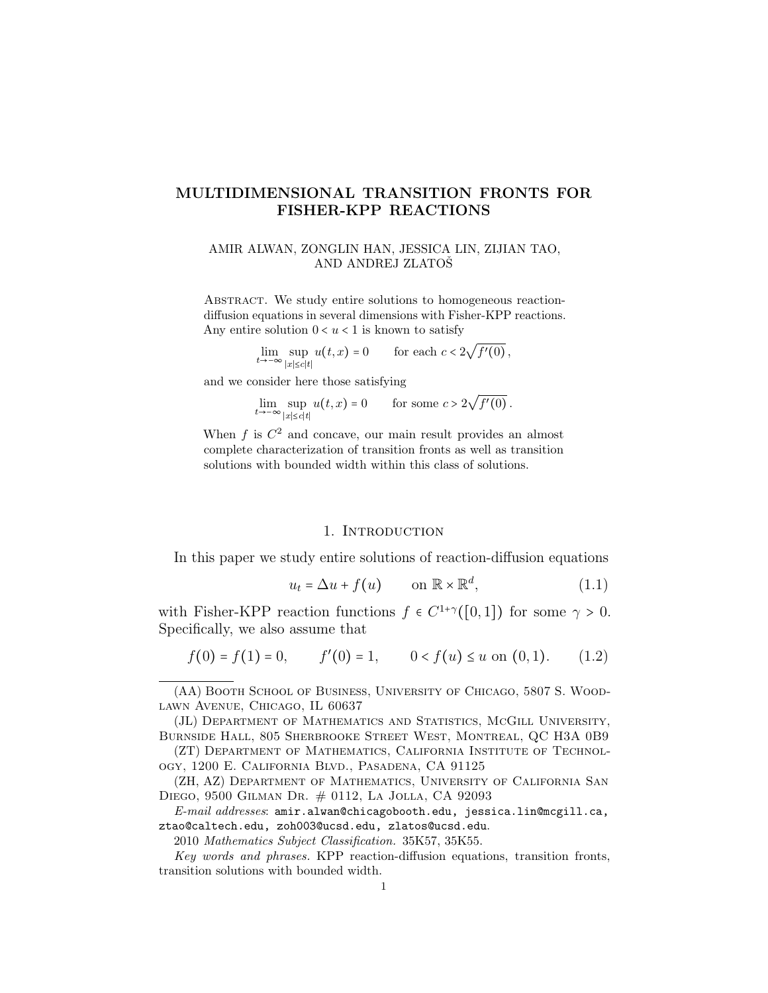# MULTIDIMENSIONAL TRANSITION FRONTS FOR FISHER-KPP REACTIONS

AMIR ALWAN, ZONGLIN HAN, JESSICA LIN, ZIJIAN TAO, AND ANDREJ ZLATOS

ABSTRACT. We study entire solutions to homogeneous reactiondiffusion equations in several dimensions with Fisher-KPP reactions. Any entire solution  $0 < u < 1$  is known to satisfy

 $\lim_{t\to-\infty} \sup_{|x|$ ∣x∣≤c∣t∣  $u(t, x) = 0$  for each  $c < 2$ √  $f'(0)$ ,

and we consider here those satisfying

$$
\lim_{t \to -\infty} \sup_{|x| \le c|t|} u(t,x) = 0 \quad \text{for some } c > 2\sqrt{f'(0)}.
$$

When  $f$  is  $C^2$  and concave, our main result provides an almost complete characterization of transition fronts as well as transition solutions with bounded width within this class of solutions.

# 1. INTRODUCTION

In this paper we study entire solutions of reaction-diffusion equations

<span id="page-0-0"></span>
$$
u_t = \Delta u + f(u) \qquad \text{on } \mathbb{R} \times \mathbb{R}^d,
$$
 (1.1)

with Fisher-KPP reaction functions  $f \in C^{1+\gamma}([0,1])$  for some  $\gamma > 0$ . Specifically, we also assume that

<span id="page-0-1"></span>
$$
f(0) = f(1) = 0, \qquad f'(0) = 1, \qquad 0 < f(u) \le u \text{ on } (0, 1). \tag{1.2}
$$

(AA) Booth School of Business, University of Chicago, 5807 S. Woodlawn Avenue, Chicago, IL 60637

(JL) Department of Mathematics and Statistics, McGill University, Burnside Hall, 805 Sherbrooke Street West, Montreal, QC H3A 0B9

(ZT) Department of Mathematics, California Institute of Technology, 1200 E. California Blvd., Pasadena, CA 91125

(ZH, AZ) Department of Mathematics, University of California San Diego, 9500 Gilman Dr. # 0112, La Jolla, CA 92093

E-mail addresses: amir.alwan@chicagobooth.edu, jessica.lin@mcgill.ca, ztao@caltech.edu, zoh003@ucsd.edu, zlatos@ucsd.edu.

2010 Mathematics Subject Classification. 35K57, 35K55.

Key words and phrases. KPP reaction-diffusion equations, transition fronts, transition solutions with bounded width.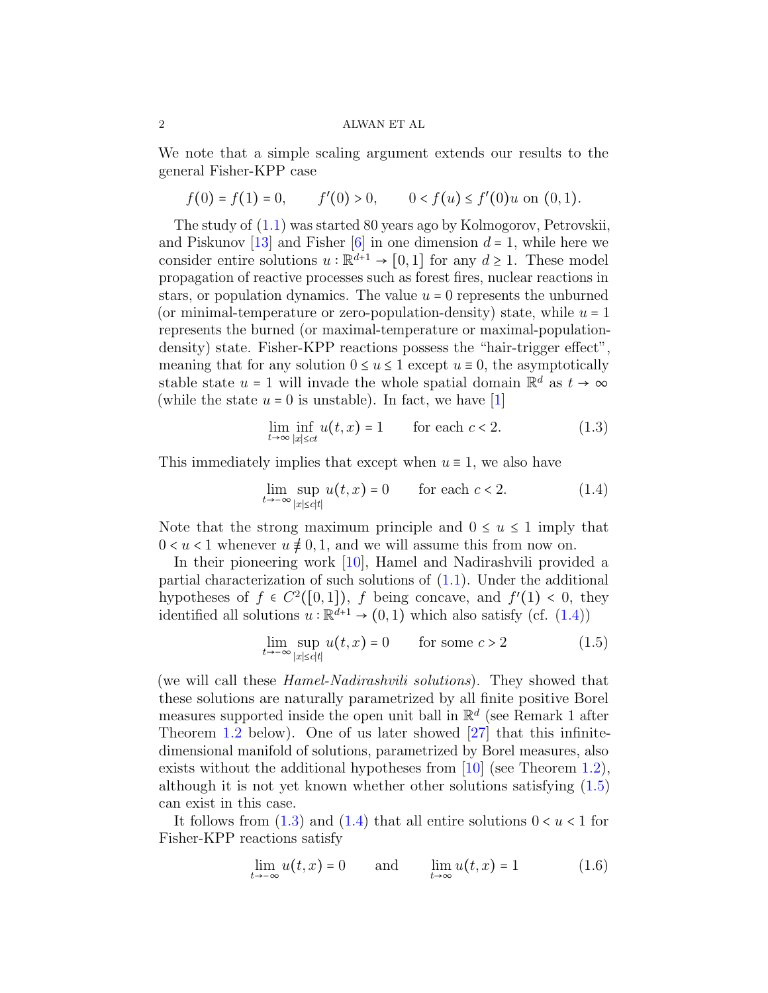We note that a simple scaling argument extends our results to the general Fisher-KPP case

$$
f(0) = f(1) = 0, \qquad f'(0) > 0, \qquad 0 < f(u) \le f'(0)u \text{ on } (0,1).
$$

The study of [\(1.1\)](#page-0-0) was started 80 years ago by Kolmogorov, Petrovskii, and Piskunov [\[13\]](#page-16-0) and Fisher [\[6\]](#page-15-0) in one dimension  $d = 1$ , while here we consider entire solutions  $u : \mathbb{R}^{d+1} \to [0,1]$  for any  $d \ge 1$ . These model propagation of reactive processes such as forest fires, nuclear reactions in stars, or population dynamics. The value  $u = 0$  represents the unburned (or minimal-temperature or zero-population-density) state, while  $u = 1$ represents the burned (or maximal-temperature or maximal-populationdensity) state. Fisher-KPP reactions possess the "hair-trigger effect", meaning that for any solution  $0 \le u \le 1$  except  $u \equiv 0$ , the asymptotically stable state  $u = 1$  will invade the whole spatial domain  $\mathbb{R}^d$  as  $t \to \infty$ (while the state  $u = 0$  is unstable). In fact, we have [\[1\]](#page-15-1)

<span id="page-1-2"></span>
$$
\lim_{t \to \infty} \inf_{|x| \le ct} u(t, x) = 1 \qquad \text{for each } c < 2. \tag{1.3}
$$

This immediately implies that except when  $u \equiv 1$ , we also have

<span id="page-1-0"></span>
$$
\lim_{t \to -\infty} \sup_{|x| \le c|t|} u(t, x) = 0 \qquad \text{for each } c < 2. \tag{1.4}
$$

Note that the strong maximum principle and  $0 \le u \le 1$  imply that  $0 < u < 1$  whenever  $u \neq 0, 1$ , and we will assume this from now on.

In their pioneering work [\[10\]](#page-15-2), Hamel and Nadirashvili provided a partial characterization of such solutions of  $(1.1)$ . Under the additional hypotheses of  $f \in C^2([0,1])$ , f being concave, and  $f'(1) < 0$ , they<br>identified all solutions  $y : \mathbb{R}^{d+1} \to (0,1)$  which also satisfy  $(g^c, (1,4))$ identified all solutions  $u : \mathbb{R}^{d+1} \to (0,1)$  which also satisfy (cf. [\(1.4\)](#page-1-0))

<span id="page-1-1"></span>
$$
\lim_{t \to -\infty} \sup_{|x| \le c|t|} u(t, x) = 0 \qquad \text{for some } c > 2 \tag{1.5}
$$

(we will call these *Hamel-Nadirashvili solutions*). They showed that these solutions are naturally parametrized by all finite positive Borel measures supported inside the open unit ball in  $\mathbb{R}^d$  (see Remark 1 after Theorem [1.2](#page-4-0) below). One of us later showed [\[27\]](#page-16-1) that this infinitedimensional manifold of solutions, parametrized by Borel measures, also exists without the additional hypotheses from [\[10\]](#page-15-2) (see Theorem [1.2\)](#page-4-0), although it is not yet known whether other solutions satisfying [\(1.5\)](#page-1-1) can exist in this case.

It follows from  $(1.3)$  and  $(1.4)$  that all entire solutions  $0 < u < 1$  for Fisher-KPP reactions satisfy

<span id="page-1-3"></span>
$$
\lim_{t \to -\infty} u(t, x) = 0 \quad \text{and} \quad \lim_{t \to \infty} u(t, x) = 1 \quad (1.6)
$$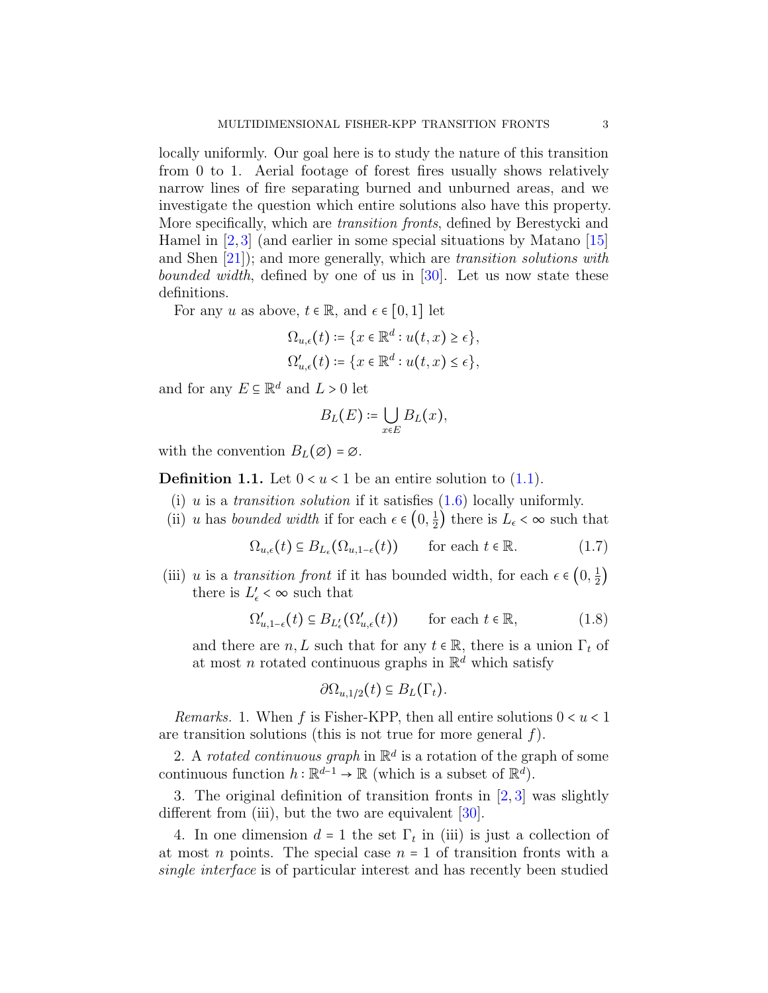locally uniformly. Our goal here is to study the nature of this transition from 0 to 1. Aerial footage of forest fires usually shows relatively narrow lines of fire separating burned and unburned areas, and we investigate the question which entire solutions also have this property. More specifically, which are transition fronts, defined by Berestycki and Hamel in  $[2,3]$  $[2,3]$  (and earlier in some special situations by Matano  $[15]$ ) and Shen [\[21\]](#page-16-3)); and more generally, which are transition solutions with bounded width, defined by one of us in [\[30\]](#page-16-4). Let us now state these definitions.

For any u as above,  $t \in \mathbb{R}$ , and  $\epsilon \in [0, 1]$  let

$$
\Omega_{u,\epsilon}(t) \coloneqq \{x \in \mathbb{R}^d : u(t,x) \ge \epsilon\},\,
$$
  

$$
\Omega'_{u,\epsilon}(t) \coloneqq \{x \in \mathbb{R}^d : u(t,x) \le \epsilon\},\,
$$

and for any  $E \subseteq \mathbb{R}^d$  and  $L > 0$  let

<span id="page-2-0"></span>
$$
B_L(E) \coloneqq \bigcup_{x \in E} B_L(x),
$$

with the convention  $B_L(\varnothing) = \varnothing$ .

<span id="page-2-2"></span>**Definition 1.1.** Let  $0 < u < 1$  be an entire solution to  $(1.1)$ .

- (i) u is a transition solution if it satisfies  $(1.6)$  locally uniformly.
- (ii) u has bounded width if for each  $\epsilon \in (0, \frac{1}{2})$  $(\frac{1}{2})$  there is  $L_{\epsilon} < \infty$  such that

$$
\Omega_{u,\epsilon}(t) \subseteq B_{L_{\epsilon}}(\Omega_{u,1-\epsilon}(t)) \qquad \text{for each } t \in \mathbb{R}.
$$
 (1.7)

(iii) u is a *transition front* if it has bounded width, for each  $\epsilon \in (0, \frac{1}{2})$ 2 ) there is  $L'_{\epsilon} < \infty$  such that

$$
\Omega'_{u,1-\epsilon}(t) \subseteq B_{L'_{\epsilon}}(\Omega'_{u,\epsilon}(t)) \qquad \text{for each } t \in \mathbb{R},\tag{1.8}
$$

and there are  $n, L$  such that for any  $t \in \mathbb{R}$ , there is a union  $\Gamma_t$  of at most n rotated continuous graphs in  $\mathbb{R}^d$  which satisfy

<span id="page-2-1"></span>
$$
\partial\Omega_{u,1/2}(t)\subseteq B_L(\Gamma_t).
$$

*Remarks.* 1. When f is Fisher-KPP, then all entire solutions  $0 < u < 1$ are transition solutions (this is not true for more general  $f$ ).

2. A rotated continuous graph in  $\mathbb{R}^d$  is a rotation of the graph of some continuous function  $h : \mathbb{R}^{d-1} \to \mathbb{R}$  (which is a subset of  $\mathbb{R}^d$ ).

3. The original definition of transition fronts in [\[2,](#page-15-3) [3\]](#page-15-4) was slightly different from (iii), but the two are equivalent  $[30]$ .

4. In one dimension  $d = 1$  the set  $\Gamma_t$  in (iii) is just a collection of at most *n* points. The special case  $n = 1$  of transition fronts with a single interface is of particular interest and has recently been studied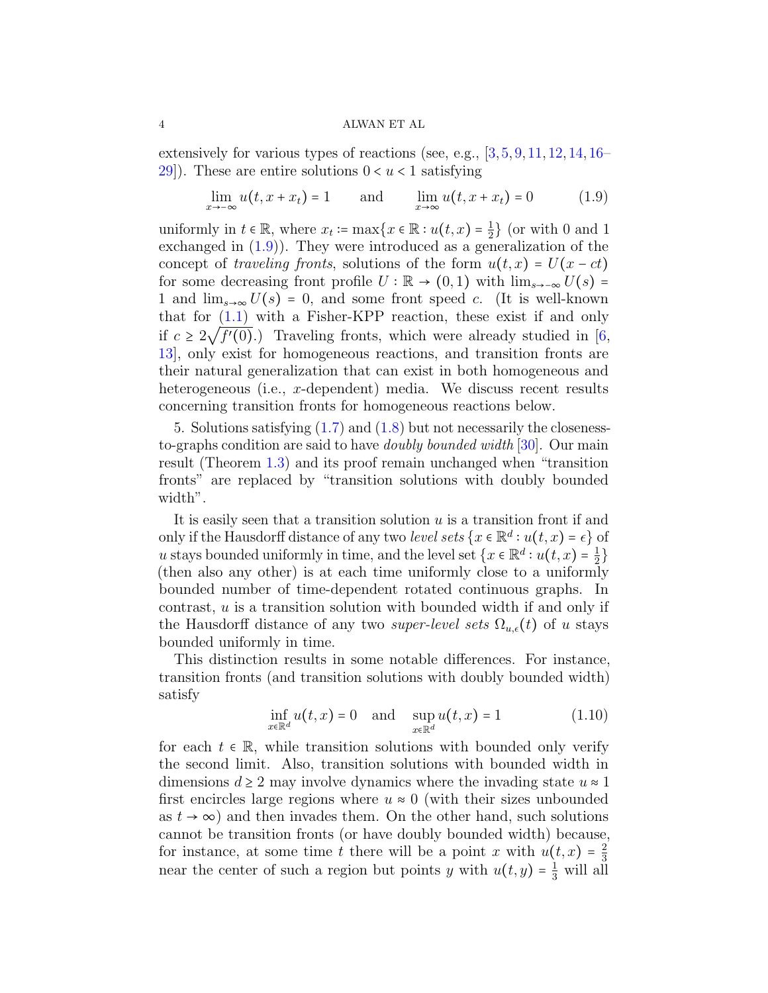extensively for various types of reactions (see, e.g.,  $\{3, 5, 9, 11, 12, 14, 16-\}$  $\{3, 5, 9, 11, 12, 14, 16-\}$  $\{3, 5, 9, 11, 12, 14, 16-\}$  $\{3, 5, 9, 11, 12, 14, 16-\}$  $\{3, 5, 9, 11, 12, 14, 16-\}$  $\{3, 5, 9, 11, 12, 14, 16-\}$  $\{3, 5, 9, 11, 12, 14, 16-\}$  $\{3, 5, 9, 11, 12, 14, 16-\}$  $\{3, 5, 9, 11, 12, 14, 16-\}$  $\{3, 5, 9, 11, 12, 14, 16-\}$  $\{3, 5, 9, 11, 12, 14, 16-\}$ [29\]](#page-16-9)). These are entire solutions  $0 < u < 1$  satisfying

<span id="page-3-0"></span>
$$
\lim_{x \to -\infty} u(t, x + x_t) = 1 \quad \text{and} \quad \lim_{x \to \infty} u(t, x + x_t) = 0 \quad (1.9)
$$

uniformly in  $t \in \mathbb{R}$ , where  $x_t := \max\{x \in \mathbb{R} : u(t, x) = \frac{1}{2}\}$  $\frac{1}{2}$  (or with 0 and 1) exchanged in [\(1.9\)](#page-3-0)). They were introduced as a generalization of the concept of traveling fronts, solutions of the form  $u(t, x) = U(x - ct)$ for some decreasing front profile  $U : \mathbb{R} \to (0,1)$  with  $\lim_{s\to -\infty} U(s) =$ 1 and  $\lim_{s\to\infty}U(s) = 0$ , and some front speed c. (It is well-known that for [\(1.1\)](#page-0-0) with a Fisher-KPP reaction, these exist if and only if  $c \geq 2\sqrt{f'(0)}$ .) Traveling fronts, which were already studied in [\[6,](#page-15-0) 12] only only the homogeneous reactions, and transition fronts are [13\]](#page-16-0), only exist for homogeneous reactions, and transition fronts are their natural generalization that can exist in both homogeneous and heterogeneous (i.e., x-dependent) media. We discuss recent results concerning transition fronts for homogeneous reactions below.

5. Solutions satisfying [\(1.7\)](#page-2-0) and [\(1.8\)](#page-2-1) but not necessarily the closenessto-graphs condition are said to have *doubly bounded width* [\[30\]](#page-16-4). Our main result (Theorem [1.3\)](#page-6-0) and its proof remain unchanged when "transition fronts" are replaced by "transition solutions with doubly bounded width".

It is easily seen that a transition solution  $u$  is a transition front if and only if the Hausdorff distance of any two *level sets*  $\{x \in \mathbb{R}^d : u(t, x) = \epsilon\}$  of u stays bounded uniformly in time, and the level set  $\{x \in \mathbb{R}^d : u(t,x) = \frac{1}{2}$ 2 (then also any other) is at each time uniformly close to a uniformly  $\alpha$ bounded number of time-dependent rotated continuous graphs. In contrast, u is a transition solution with bounded width if and only if the Hausdorff distance of any two *super-level sets*  $\Omega_{u,\epsilon}(t)$  of u stays bounded uniformly in time.

This distinction results in some notable differences. For instance, transition fronts (and transition solutions with doubly bounded width) satisfy

<span id="page-3-1"></span>
$$
\inf_{x \in \mathbb{R}^d} u(t, x) = 0 \quad \text{and} \quad \sup_{x \in \mathbb{R}^d} u(t, x) = 1 \tag{1.10}
$$

for each  $t \in \mathbb{R}$ , while transition solutions with bounded only verify the second limit. Also, transition solutions with bounded width in dimensions  $d \geq 2$  may involve dynamics where the invading state  $u \approx 1$ first encircles large regions where  $u \approx 0$  (with their sizes unbounded as  $t \to \infty$ ) and then invades them. On the other hand, such solutions cannot be transition fronts (or have doubly bounded width) because, for instance, at some time t there will be a point x with  $u(t, x) = \frac{2}{3}$ 3 near the center of such a region but points y with  $u(t, y) = \frac{1}{3}$  will all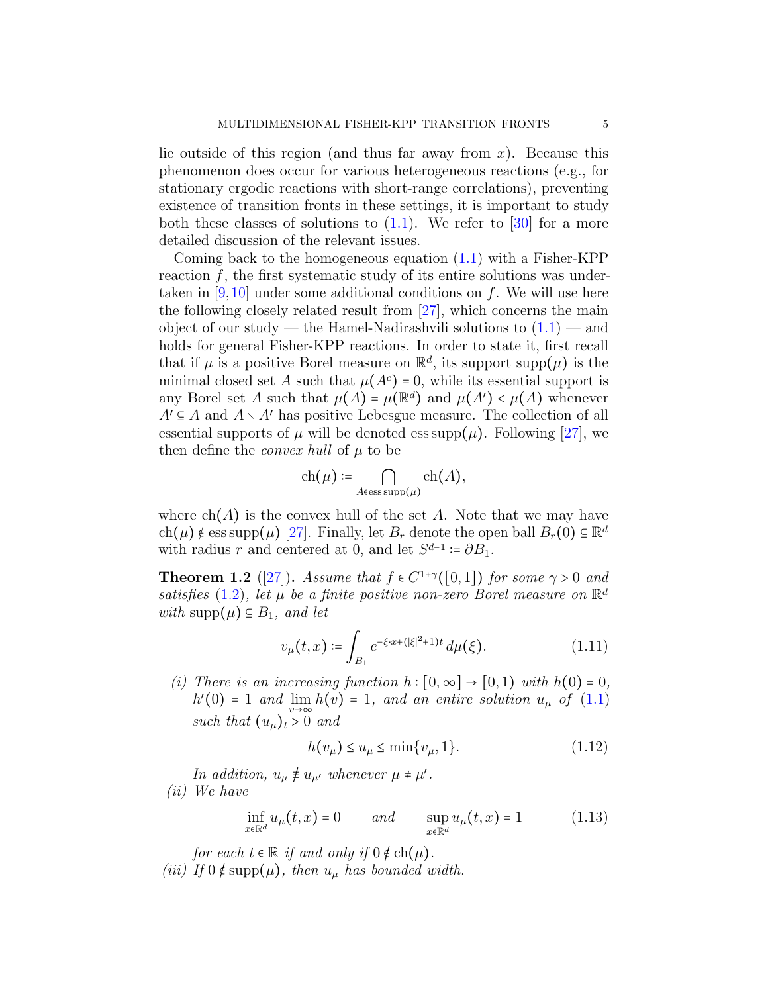lie outside of this region (and thus far away from  $x$ ). Because this phenomenon does occur for various heterogeneous reactions (e.g., for stationary ergodic reactions with short-range correlations), preventing existence of transition fronts in these settings, it is important to study both these classes of solutions to  $(1.1)$ . We refer to  $[30]$  for a more detailed discussion of the relevant issues.

Coming back to the homogeneous equation [\(1.1\)](#page-0-0) with a Fisher-KPP reaction  $f$ , the first systematic study of its entire solutions was undertaken in  $[9,10]$  $[9,10]$  under some additional conditions on f. We will use here the following closely related result from [\[27\]](#page-16-1), which concerns the main object of our study — the Hamel-Nadirashvili solutions to  $(1.1)$  — and holds for general Fisher-KPP reactions. In order to state it, first recall that if  $\mu$  is a positive Borel measure on  $\mathbb{R}^d$ , its support supp $(\mu)$  is the minimal closed ast A quantity that  $\mu(A)$ ,  $0$ , while its exactial support is minimal closed set A such that  $\mu(A^c) = 0$ , while its essential support is any Borel set A such that  $\mu(A) = \mu(\mathbb{R}^d)$  and  $\mu(A') < \mu(A)$  whenever  $A' \subseteq A$  and  $A \setminus A'$  has positive Lebesgue measure. The collection of all essential supports of  $\mu$  will be denoted ess supp $(\mu)$ . Following [\[27\]](#page-16-1), we then define the *convex hull* of  $\mu$  to be

$$
\operatorname{ch}(\mu) \coloneqq \bigcap_{A \in \operatorname{ess\,supp}(\mu)} \operatorname{ch}(A),
$$

where  $ch(A)$  is the convex hull of the set A. Note that we may have ch( $\mu$ ) ∉ ess supp( $\mu$ ) [\[27\]](#page-16-1). Finally, let  $B_r$  denote the open ball  $B_r(0) \subseteq \mathbb{R}^d$ with radius r and centered at 0, and let  $S^{d-1} \coloneqq \partial B_1$ .

<span id="page-4-0"></span>**Theorem 1.2** ([\[27\]](#page-16-1)). Assume that  $f \in C^{1+\gamma}([0,1])$  for some  $\gamma > 0$  and satisfies [\(1.2\)](#page-0-1), let  $\mu$  be a finite positive non-zero Borel measure on  $\mathbb{R}^d$ with supp $(\mu) \subseteq B_1$ , and let

<span id="page-4-1"></span>
$$
v_{\mu}(t,x) \coloneqq \int_{B_1} e^{-\xi \cdot x + (|\xi|^2 + 1)t} \, d\mu(\xi). \tag{1.11}
$$

(i) There is an increasing function  $h : [0, \infty] \to [0, 1)$  with  $h(0) = 0$ ,  $h'(0) = 1$  and  $\lim_{v \to \infty} h(v) = 1$ , and an entire solution  $u_{\mu}$  of  $(1.1)$ such that  $(u_\mu)_t > 0$  and

<span id="page-4-2"></span>
$$
h(v_{\mu}) \le u_{\mu} \le \min\{v_{\mu}, 1\}.
$$
 (1.12)

In addition,  $u_{\mu} \neq u_{\mu'}$  whenever  $\mu \neq \mu'$ . (ii) We have

$$
\inf_{x \in \mathbb{R}^d} u_{\mu}(t, x) = 0 \qquad \text{and} \qquad \sup_{x \in \mathbb{R}^d} u_{\mu}(t, x) = 1 \tag{1.13}
$$

for each  $t \in \mathbb{R}$  if and only if  $0 \notin ch(\mu)$ . (iii) If  $0 \notin \text{supp}(\mu)$ , then  $u_{\mu}$  has bounded width.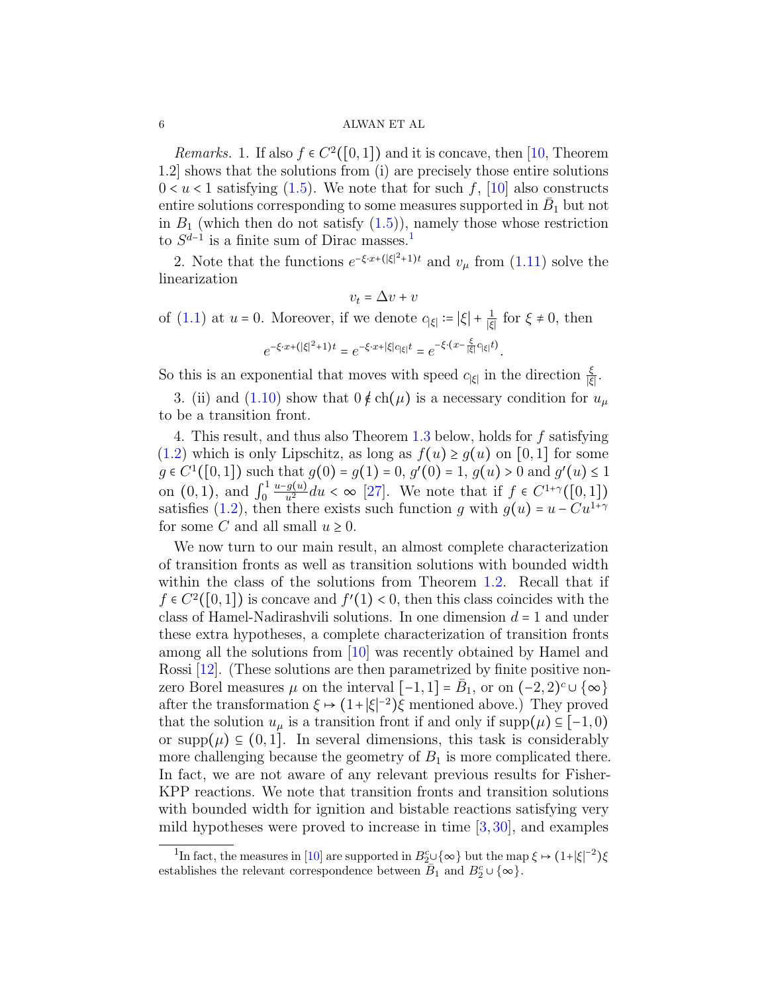*Remarks.* 1. If also  $f \in C^2([0,1])$  and it is concave, then [\[10,](#page-15-2) Theorem 1.2] shows that the solutions from (i) are precisely those entire solutions  $0 < u < 1$  satisfying  $(1.5)$ . We note that for such f,  $[10]$  also constructs entire solutions corresponding to some measures supported in  $\bar{B}_1$  but not in  $B_1$  (which then do not satisfy  $(1.5)$ ), namely those whose restriction to  $S^{d-1}$  $S^{d-1}$  $S^{d-1}$  is a finite sum of Dirac masses.<sup>1</sup>

2. Note that the functions  $e^{-\xi \cdot x + (\vert \xi \vert^2 + 1)t}$  and  $v_\mu$  from [\(1.11\)](#page-4-1) solve the linearization

$$
v_t = \Delta v + v
$$
  
of (1.1) at  $u = 0$ . Moreover, if we denote  $c_{|\xi|} := |\xi| + \frac{1}{|\xi|}$  for  $\xi \neq 0$ , then  

$$
e^{-\xi \cdot x + (|\xi|^2 + 1)t} = e^{-\xi \cdot x + |\xi| c_{|\xi|} t} = e^{-\xi \cdot (x - \frac{\xi}{|\xi|} c_{|\xi|} t)}.
$$

So this is an exponential that moves with speed  $c_{|\xi|}$  in the direction  $\frac{\xi}{|\xi|}$ .

3. (ii) and [\(1.10\)](#page-3-1) show that  $0 \notin ch(\mu)$  is a necessary condition for  $u_{\mu}$ to be a transition front.

4. This result, and thus also Theorem [1.3](#page-6-0) below, holds for f satisfying [\(1.2\)](#page-0-1) which is only Lipschitz, as long as  $f(u) \ge g(u)$  on [0,1] for some  $g \in C^{1}([0,1])$  such that  $g(0) = g(1) = 0, g'(0) = 1, g(u) > 0$  and  $g'(u) \le 1$ on  $(0, 1)$ , and  $\int_0^1$  $\frac{u-g(u)}{u^2}du < \infty$  [\[27\]](#page-16-1). We note that if  $f \in C^{1+\gamma}([0,1])$ satisfies [\(1.2\)](#page-0-1), then there exists such function g with  $g(u) = u - Cu^{1+\gamma}$ for some C and all small  $u \geq 0$ .

We now turn to our main result, an almost complete characterization of transition fronts as well as transition solutions with bounded width within the class of the solutions from Theorem [1.2.](#page-4-0) Recall that if  $f \in C^2([0,1])$  is concave and  $f'(1) < 0$ , then this class coincides with the class of Hamel-Nadirashvili solutions. In one dimension  $d = 1$  and under these extra hypotheses, a complete characterization of transition fronts among all the solutions from [\[10\]](#page-15-2) was recently obtained by Hamel and Rossi [\[12\]](#page-16-6). (These solutions are then parametrized by finite positive nonzero Borel measures  $\mu$  on the interval  $[-1,1] = \bar{B}_1$ , or on  $(-2,2)^c \cup {\infty}$ after the transformation  $\xi \mapsto (1+|\xi|^{-2})\overline{\xi}$  mentioned above.) They proved<br>that the solution  $\overline{\xi}$  is a transition front if and only if  $\overline{\xi}$  (i)  $\overline{\xi}$  [ 1.0) that the solution  $u_{\mu}$  is a transition front if and only if supp $(\mu) \subseteq [-1, 0)$ or supp $(\mu) \subseteq (0,1]$ . In several dimensions, this task is considerably more challenging because the geometry of  $B_1$  is more complicated there. In fact, we are not aware of any relevant previous results for Fisher-KPP reactions. We note that transition fronts and transition solutions with bounded width for ignition and bistable reactions satisfying very mild hypotheses were proved to increase in time [\[3,](#page-15-4) [30\]](#page-16-4), and examples

<span id="page-5-0"></span><sup>&</sup>lt;sup>1</sup>In fact, the measures in [\[10\]](#page-15-2) are supported in  $B_2^c \cup \{\infty\}$  but the map  $\xi \mapsto (1+|\xi|^{-2})\xi$ establishes the relevant correspondence between  $\overline{B}_1$  and  $B_2^c \cup \{\infty\}$ .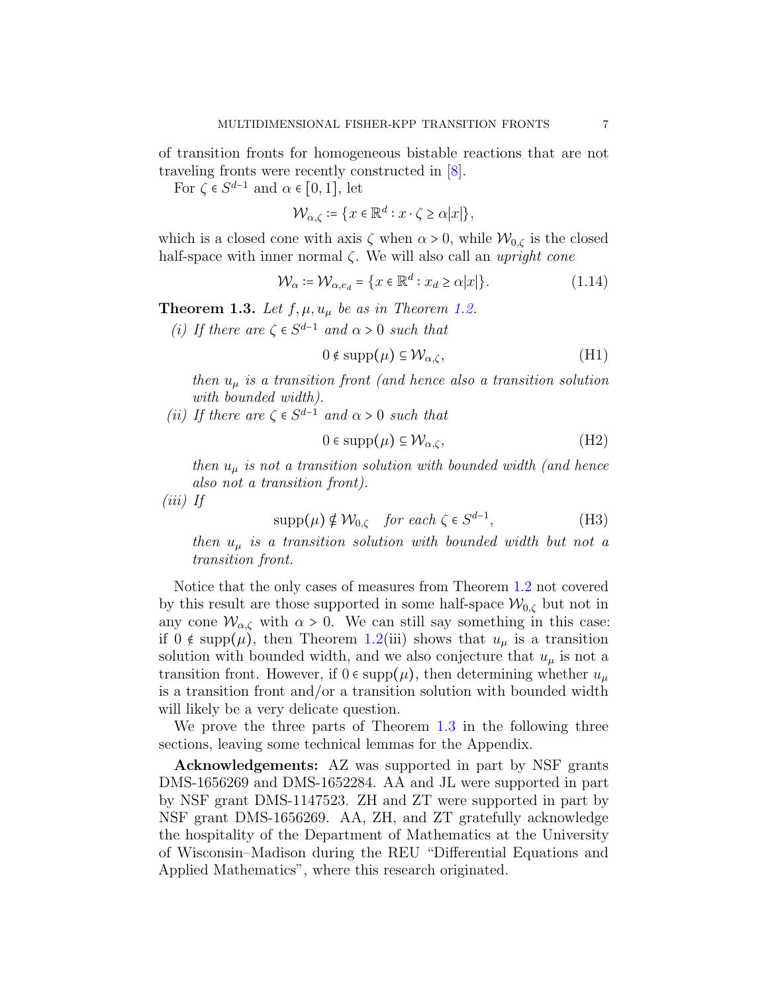of transition fronts for homogeneous bistable reactions that are not traveling fronts were recently constructed in [\[8\]](#page-15-7).

For  $\zeta \in S^{d-1}$  and  $\alpha \in [0,1]$ , let

$$
\mathcal{W}_{\alpha,\zeta} \coloneqq \{x \in \mathbb{R}^d : x \cdot \zeta \ge \alpha |x|\},\
$$

which is a closed cone with axis  $\zeta$  when  $\alpha > 0$ , while  $\mathcal{W}_{0,\zeta}$  is the closed half-space with inner normal  $\zeta$ . We will also call an *upright cone* 

$$
\mathcal{W}_{\alpha} \coloneqq \mathcal{W}_{\alpha, e_d} = \{ x \in \mathbb{R}^d : x_d \ge \alpha |x| \}. \tag{1.14}
$$

<span id="page-6-0"></span>**Theorem 1.3.** Let  $f, \mu, u_\mu$  be as in Theorem [1.2.](#page-4-0)

(*i*) If there are  $\zeta \in S^{d-1}$  and  $\alpha > 0$  such that

<span id="page-6-1"></span>
$$
0 \notin \operatorname{supp}(\mu) \subseteq \mathcal{W}_{\alpha,\zeta},\tag{H1}
$$

then  $u_{\mu}$  is a transition front (and hence also a transition solution with bounded width).

(*ii*) If there are  $\zeta \in S^{d-1}$  and  $\alpha > 0$  such that

<span id="page-6-2"></span>
$$
0 \in \operatorname{supp}(\mu) \subseteq \mathcal{W}_{\alpha,\zeta},\tag{H2}
$$

then  $u_{\mu}$  is not a transition solution with bounded width (and hence also not a transition front).

(iii) If

$$
supp(\mu) \notin \mathcal{W}_{0,\zeta} \quad \text{for each } \zeta \in S^{d-1}, \tag{H3}
$$

then  $u_{\mu}$  is a transition solution with bounded width but not a transition front.

Notice that the only cases of measures from Theorem [1.2](#page-4-0) not covered by this result are those supported in some half-space  $\mathcal{W}_{0,\zeta}$  but not in any cone  $\mathcal{W}_{\alpha,\zeta}$  with  $\alpha > 0$ . We can still say something in this case: if  $0 \notin \text{supp}(\mu)$ , then Theorem [1.2\(](#page-4-0)iii) shows that  $u_{\mu}$  is a transition solution with bounded width, and we also conjecture that  $u_{\mu}$  is not a transition front. However, if  $0 \in \text{supp}(\mu)$ , then determining whether  $u_{\mu}$ is a transition front and/or a transition solution with bounded width will likely be a very delicate question.

We prove the three parts of Theorem [1.3](#page-6-0) in the following three sections, leaving some technical lemmas for the Appendix.

Acknowledgements: AZ was supported in part by NSF grants DMS-1656269 and DMS-1652284. AA and JL were supported in part by NSF grant DMS-1147523. ZH and ZT were supported in part by NSF grant DMS-1656269. AA, ZH, and ZT gratefully acknowledge the hospitality of the Department of Mathematics at the University of Wisconsin–Madison during the REU "Differential Equations and Applied Mathematics", where this research originated.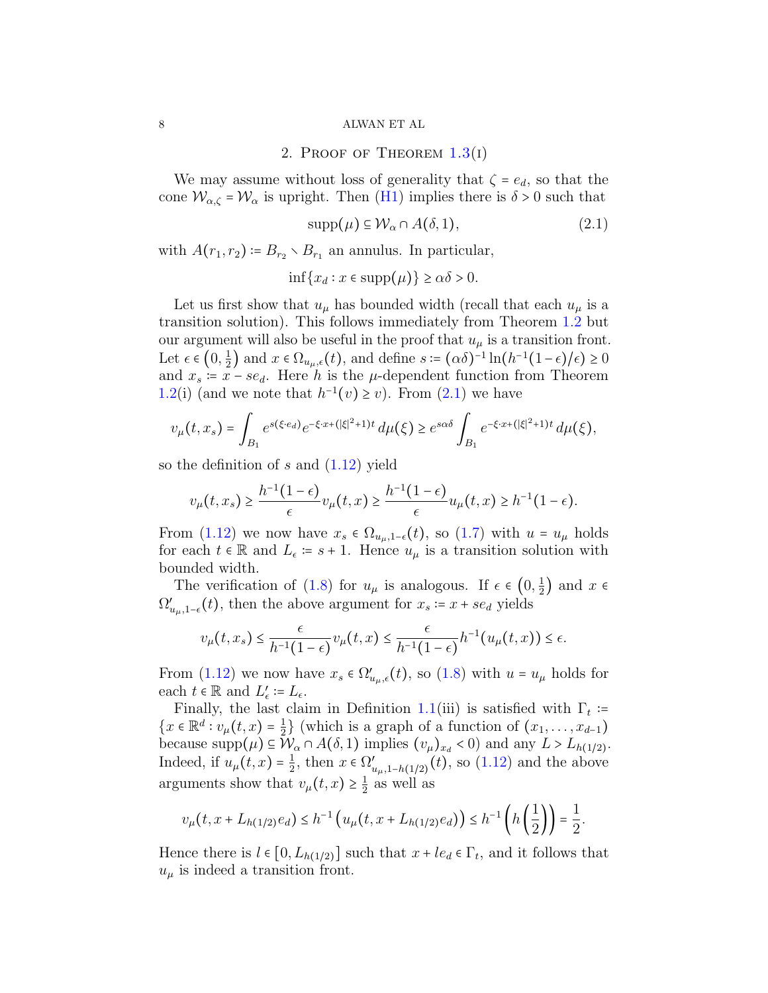2. PROOF OF THEOREM  $1.3(1)$  $1.3(1)$ 

We may assume without loss of generality that  $\zeta = e_d$ , so that the cone  $W_{\alpha,\zeta} = W_{\alpha}$  is upright. Then [\(H1\)](#page-6-1) implies there is  $\delta > 0$  such that

<span id="page-7-0"></span>
$$
supp(\mu) \subseteq \mathcal{W}_{\alpha} \cap A(\delta, 1), \tag{2.1}
$$

with  $A(r_1, r_2) \coloneqq B_{r_2} \setminus B_{r_1}$  an annulus. In particular,

$$
\inf\{x_d : x \in \text{supp}(\mu)\} \ge \alpha\delta > 0.
$$

Let us first show that  $u_{\mu}$  has bounded width (recall that each  $u_{\mu}$  is a transition solution). This follows immediately from Theorem [1.2](#page-4-0) but our argument will also be useful in the proof that  $u_{\mu}$  is a transition front. Let  $\epsilon \in \left(0, \frac{1}{2}\right)$  $\frac{1}{2}$  and  $x \in \Omega_{u_{\mu},\epsilon}(t)$ , and define  $s := (\alpha \delta)^{-1} \ln(h^{-1}(1-\epsilon)/\epsilon) \ge 0$ and  $x_s = x - s e_d$ . Here h is the  $\mu$ -dependent function from Theorem [1.2\(](#page-4-0)i) (and we note that  $h^{-1}(v) \ge v$ ). From [\(2.1\)](#page-7-0) we have

$$
v_{\mu}(t,x_s) = \int_{B_1} e^{s(\xi \cdot e_d)} e^{-\xi \cdot x + (|\xi|^2 + 1)t} d\mu(\xi) \ge e^{s\alpha \delta} \int_{B_1} e^{-\xi \cdot x + (|\xi|^2 + 1)t} d\mu(\xi),
$$

so the definition of s and  $(1.12)$  yield

$$
v_{\mu}(t,x_s) \geq \frac{h^{-1}(1-\epsilon)}{\epsilon}v_{\mu}(t,x) \geq \frac{h^{-1}(1-\epsilon)}{\epsilon}u_{\mu}(t,x) \geq h^{-1}(1-\epsilon).
$$

From [\(1.12\)](#page-4-2) we now have  $x_s \in \Omega_{u_\mu,1-\epsilon}(t)$ , so [\(1.7\)](#page-2-0) with  $u = u_\mu$  holds for each  $t \in \mathbb{R}$  and  $L_{\epsilon} := s + 1$ . Hence  $u_{\mu}$  is a transition solution with bounded width.

The verification of [\(1.8\)](#page-2-1) for  $u_{\mu}$  is analogous. If  $\epsilon \in (0, \frac{1}{2})$  $(\frac{1}{2})$  and  $x \in$  $\Omega'_{u_{\mu},1-\epsilon}(t)$ , then the above argument for  $x_s = x + s e_d$  yields

$$
v_{\mu}(t,x_s) \leq \frac{\epsilon}{h^{-1}(1-\epsilon)} v_{\mu}(t,x) \leq \frac{\epsilon}{h^{-1}(1-\epsilon)} h^{-1}(u_{\mu}(t,x)) \leq \epsilon.
$$

From  $(1.12)$  we now have  $x_s \in \Omega'_{u_\mu,\epsilon}(t)$ , so  $(1.8)$  with  $u = u_\mu$  holds for each  $t \in \mathbb{R}$  and  $L'_{\epsilon} := L_{\epsilon}$ .<br>Finally the less also

Finally, the last claim in Definition [1.1\(](#page-2-2)iii) is satisfied with  $\Gamma_t$  :=  ${x \in \mathbb{R}^d : v_\mu(t, x) = \frac{1}{2}}$  $\frac{1}{2}$  (which is a graph of a function of  $(x_1, \ldots, x_{d-1})$ ) because  $\text{supp}(\mu) \subseteq \mathcal{W}_\alpha \cap A(\delta, 1)$  implies  $(v_\mu)_{x_d} < 0$  and any  $L > L_{h(1/2)}$ . Indeed, if  $u_{\mu}(t,x) = \frac{1}{2}$  $\frac{1}{2}$ , then  $x \in \Omega'_{u_{\mu},1-h(1/2)}(t)$ , so [\(1.12\)](#page-4-2) and the above arguments show that  $v_{\mu}(t,x) \geq \frac{1}{2}$  $\frac{1}{2}$  as well as

$$
v_{\mu}(t, x + L_{h(1/2)}e_d) \leq h^{-1}\left(u_{\mu}(t, x + L_{h(1/2)}e_d)\right) \leq h^{-1}\left(h\left(\frac{1}{2}\right)\right) = \frac{1}{2}.
$$

Hence there is  $l \in [0, L_{h(1/2)}]$  such that  $x + le_d \in \Gamma_t$ , and it follows that  $u_{\mu}$  is indeed a transition front.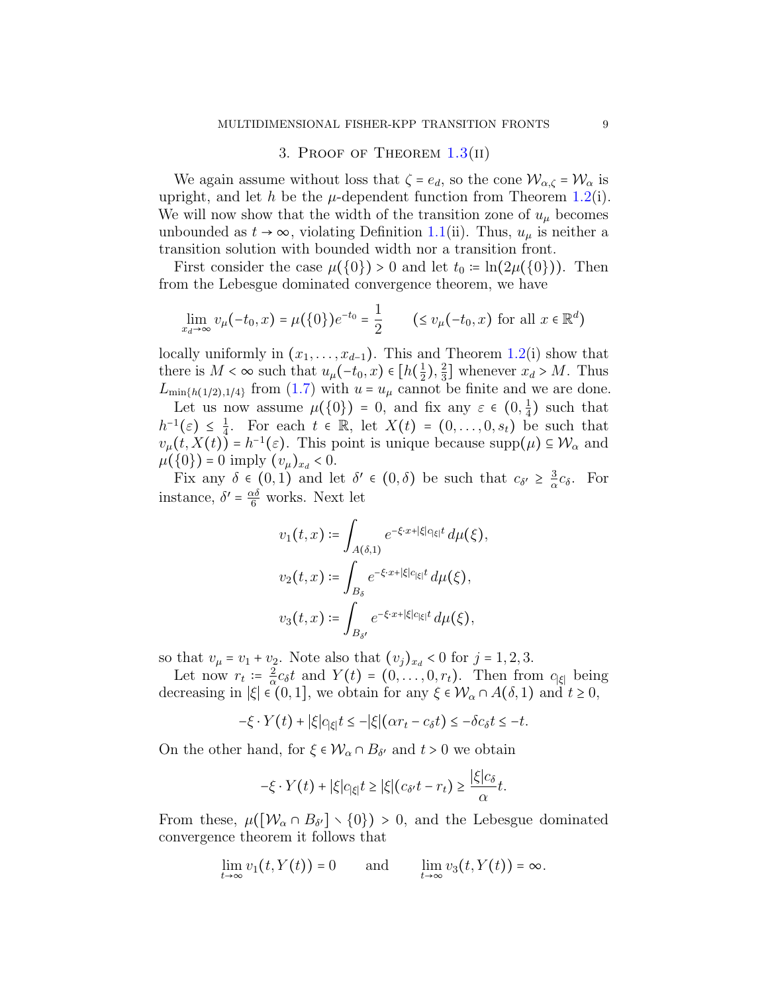# 3. PROOF OF THEOREM  $1.3(II)$  $1.3(II)$

We again assume without loss that  $\zeta = e_d$ , so the cone  $\mathcal{W}_{\alpha,\zeta} = \mathcal{W}_{\alpha}$  is upright, and let h be the  $\mu$ -dependent function from Theorem [1.2\(](#page-4-0)i). We will now show that the width of the transition zone of  $u_{\mu}$  becomes unbounded as  $t \to \infty$ , violating Definition [1.1\(](#page-2-2)ii). Thus,  $u_{\mu}$  is neither a transition solution with bounded width nor a transition front.

First consider the case  $\mu({0}) > 0$  and let  $t_0 = \ln(2\mu({0})).$  Then from the Lebesgue dominated convergence theorem, we have

$$
\lim_{x_d \to \infty} v_{\mu}(-t_0, x) = \mu(\{0\}) e^{-t_0} = \frac{1}{2} \qquad (\le v_{\mu}(-t_0, x) \text{ for all } x \in \mathbb{R}^d)
$$

locally uniformly in  $(x_1, \ldots, x_{d-1})$ . This and Theorem [1.2\(](#page-4-0)i) show that there is  $M < \infty$  such that  $u_\mu(-t_0, x) \in [h(\frac{1}{2}$  $(\frac{1}{2}), \frac{2}{3}$  $\frac{2}{3}$  whenever  $x_d > M$ . Thus  $L_{\min\{h(1/2),1/4\}}$  from [\(1.7\)](#page-2-0) with  $u = u_{\mu}$  cannot be finite and we are done.

Let us now assume  $\mu({0}) = 0$ , and fix any  $\varepsilon \in (0, \frac{1}{4})$  $(\frac{1}{4})$  such that  $h^{-1}(\varepsilon) \leq \frac{1}{4}$ <br>  $\therefore$  (t  $Y(t)$ )  $\frac{1}{4}$ . For each  $t \in \mathbb{R}$ , let  $X(t) = (0, \ldots, 0, s_t)$  be such that  $v_{\mu}(t, X(t)) = h^{-1}(\varepsilon)$ . This point is unique because supp $(\mu) \subseteq \mathcal{W}_{\alpha}$  and  $\mu(\Omega)$ .  $\Omega$  imply  $(\mu) \geq 0$ .  $\mu({0}) = 0$  imply  $(v_\mu)_{x_d} < 0$ .<br>Fix any  $\delta \in (0, 1)$  and le

Fix any  $\delta \in (0,1)$  and let  $\delta' \in (0,\delta)$  be such that  $c_{\delta'} \geq \frac{3}{\alpha}$  $\frac{3}{\alpha}c_{\delta}$ . For instance,  $\delta' = \frac{\alpha \delta}{6}$  works. Next let

$$
v_1(t,x) \coloneqq \int_{A(\delta,1)} e^{-\xi \cdot x + |\xi|c_{|\xi|}t} d\mu(\xi),
$$
  

$$
v_2(t,x) \coloneqq \int_{B_\delta} e^{-\xi \cdot x + |\xi|c_{|\xi|}t} d\mu(\xi),
$$
  

$$
v_3(t,x) \coloneqq \int_{B_{\delta'}} e^{-\xi \cdot x + |\xi|c_{|\xi|}t} d\mu(\xi),
$$

so that  $v_{\mu} = v_1 + v_2$ . Note also that  $(v_j)_{x_d} < 0$  for  $j = 1, 2, 3$ .

Let now  $r_t = \frac{2}{\alpha}$  $\frac{2}{\alpha}c_{\delta}t$  and  $Y(t) = (0, \ldots, 0, r_t)$ . Then from  $c_{|\xi|}$  being  $(0, 1]$  we obtain for any  $\xi \in M$ ,  $\alpha A(\delta, 1)$  and  $t > 0$ decreasing in  $|\xi| \in (0,1]$ , we obtain for any  $\xi \in \mathcal{W}_\alpha \cap A(\delta,1)$  and  $t \geq 0$ ,

$$
-\xi \cdot Y(t) + |\xi|c_{|\xi|}t \leq -|\xi|(\alpha r_t - c_\delta t) \leq -\delta c_\delta t \leq -t.
$$

On the other hand, for  $\xi \in \mathcal{W}_{\alpha} \cap B_{\delta'}$  and  $t > 0$  we obtain

$$
-\xi \cdot Y(t) + |\xi|c_{|\xi|}t \ge |\xi|(c_{\delta'}t - r_t) \ge \frac{|\xi|c_{\delta}}{\alpha}t.
$$

From these,  $\mu([W_{\alpha} \cap B_{\delta'}] \setminus \{0\}) > 0$ , and the Lebesgue dominated convergence theorem it follows that

$$
\lim_{t\to\infty}v_1(t,Y(t))=0\qquad\text{and}\qquad\lim_{t\to\infty}v_3(t,Y(t))=\infty.
$$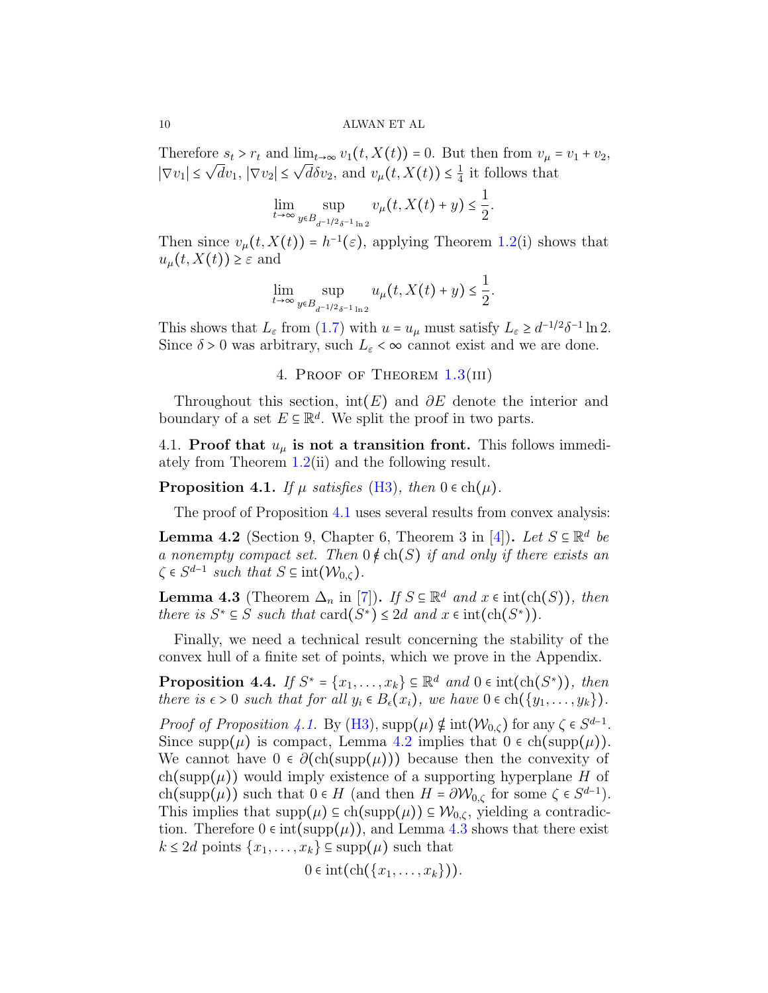Therefore  $s_t > r_t$  and  $\lim_{t\to\infty} v_1(t, X(t)) = 0$ . But then from  $v_\mu = v_1 + v_2$ ,  $|\nabla v_1| \leq \sqrt{d}v_1$ ,  $|\nabla v_2| \leq \sqrt{d}\delta v_2$ , and  $v_\mu(t, X(t)) \leq \frac{1}{4}$  $\frac{1}{4}$  it follows that

$$
\lim_{t \to \infty} \sup_{y \in B_{d^{-1/2}\delta^{-1} \ln 2}} v_{\mu}(t, X(t) + y) \le \frac{1}{2}.
$$

Then since  $v_{\mu}(t, X(t)) = h^{-1}(\varepsilon)$ , applying Theorem [1.2\(](#page-4-0)i) shows that  $u_{\mu}(t, X(t)) \geq \varepsilon$  and

$$
\lim_{t\to\infty}\sup_{y\in B_{d^{-1/2}\delta^{-1}\ln 2}}u_{\mu}(t,X(t)+y)\leq \frac{1}{2}.
$$

This shows that  $L_{\varepsilon}$  from [\(1.7\)](#page-2-0) with  $u = u_{\mu}$  must satisfy  $L_{\varepsilon} \geq d^{-1/2}\delta^{-1} \ln 2$ .<br>Since  $\delta > 0$  was exhitrant such  $L_{\varepsilon}$  as example suit and we are done. Since  $\delta > 0$  was arbitrary, such  $L_{\varepsilon} < \infty$  cannot exist and we are done.

4. PROOF OF THEOREM  $1.3(III)$  $1.3(III)$ 

Throughout this section, int(E) and  $\partial E$  denote the interior and boundary of a set  $E \subseteq \mathbb{R}^d$ . We split the proof in two parts.

4.1. Proof that  $u_{\mu}$  is not a transition front. This follows immediately from Theorem [1.2\(](#page-4-0)ii) and the following result.

<span id="page-9-0"></span>**Proposition 4.1.** If  $\mu$  satisfies [\(H3\)](#page-6-2), then  $0 \in \text{ch}(\mu)$ .

The proof of Proposition [4.1](#page-9-0) uses several results from convex analysis:

<span id="page-9-1"></span>**Lemma 4.2** (Section 9, Chapter 6, Theorem 3 in [\[4\]](#page-15-8)). Let  $S \subseteq \mathbb{R}^d$  be a nonempty compact set. Then  $0 \notin ch(S)$  if and only if there exists an  $\zeta \in S^{d-1}$  such that  $S \subseteq \text{int}(\mathcal{W}_{0,\zeta})$ .

<span id="page-9-2"></span>**Lemma 4.3** (Theorem  $\Delta_n$  in [\[7\]](#page-15-9)). If  $S \subseteq \mathbb{R}^d$  and  $x \in \text{int}(\text{ch}(S))$ , then there is  $S^* \subseteq S$  such that  $\text{card}(S^*) \leq 2d$  and  $x \in \text{int}(\text{ch}(S^*))$ .

Finally, we need a technical result concerning the stability of the convex hull of a finite set of points, which we prove in the Appendix.

<span id="page-9-3"></span>**Proposition 4.4.** If  $S^* = \{x_1, \ldots, x_k\} \subseteq \mathbb{R}^d$  and  $0 \in \text{int}(\text{ch}(S^*))$ , then there is  $\epsilon > 0$  such that for all  $y_i \in B_{\epsilon}(x_i)$ , we have  $0 \in \text{ch}(\{y_1, \ldots, y_k\})$ .

Proof of Proposition [4.1.](#page-9-0) By [\(H3\)](#page-6-2), supp $(\mu) \notin \text{int}(W_{0,\zeta})$  for any  $\zeta \in S^{d-1}$ .<br>Since supp $(\mu)$  is compacted more 4.2 involved that 0.5 ch(supp $(\mu)$ ). Since supp $(\mu)$  is compact, Lemma [4.2](#page-9-1) implies that  $0 \in \text{ch}(\text{supp}(\mu)).$ We cannot have  $0 \in \partial(\text{ch}(\text{supp}(\mu)))$  because then the convexity of  $ch(supp(\mu))$  would imply existence of a supporting hyperplane H of ch(supp( $\mu$ )) such that  $0 \in H$  (and then  $H = \partial \mathcal{W}_{0,\zeta}$  for some  $\zeta \in S^{d-1}$ ).<br>This implies that supp( $\mu$ )  $\in$  ob(supp( $\mu$ ))  $\in \mathcal{W}$ , rialding a contradio This implies that  $\text{supp}(\mu) \subseteq \text{ch}(\text{supp}(\mu)) \subseteq \mathcal{W}_{0,\zeta}$ , yielding a contradiction. Therefore  $0 \in \text{int}(\text{supp}(\mu))$ , and Lemma [4.3](#page-9-2) shows that there exist  $k \le 2d$  points  $\{x_1, \ldots, x_k\} \subseteq \text{supp}(\mu)$  such that

$$
0\in\mathrm{int}(\mathrm{ch}(\{x_1,\ldots,x_k\})).
$$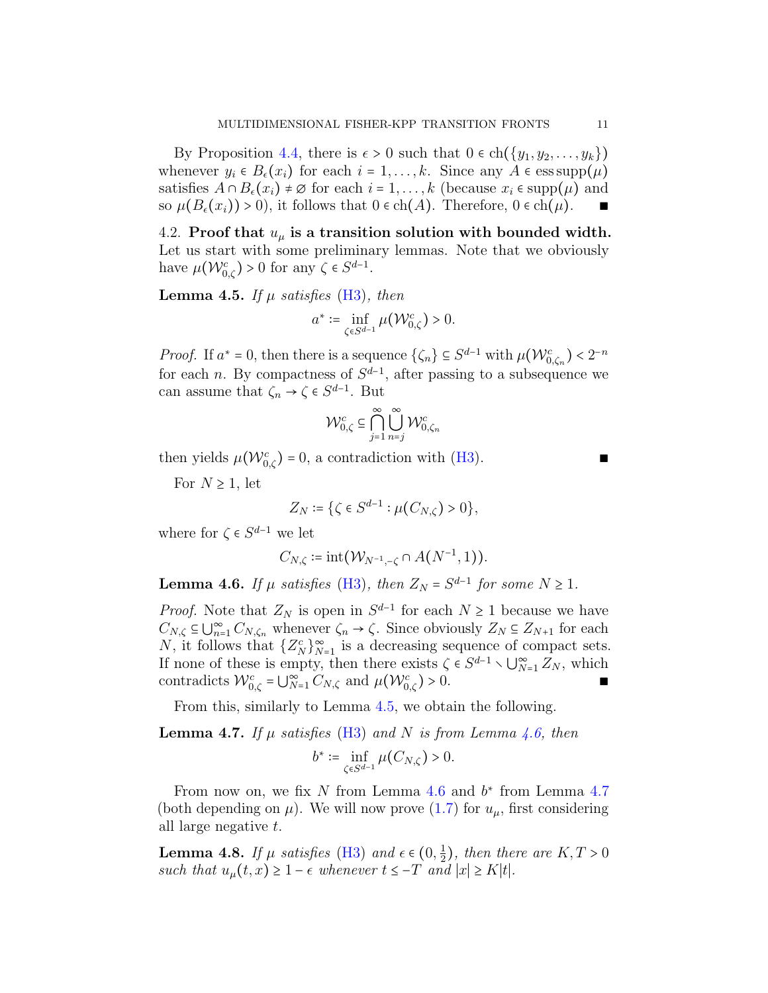By Proposition [4.4,](#page-9-3) there is  $\epsilon > 0$  such that  $0 \in ch({y_1, y_2, \ldots, y_k})$ whenever  $y_i \in B_{\epsilon}(x_i)$  for each  $i = 1, ..., k$ . Since any  $A \in \text{ess supp}(\mu)$ satisfies  $A \cap B_{\epsilon}(x_i) \neq \emptyset$  for each  $i = 1, ..., k$  (because  $x_i \in \text{supp}(\mu)$  and so  $\mu(B_{\epsilon}(x_i)) > 0$ , it follows that  $0 \in \text{ch}(A)$ . Therefore,  $0 \in \text{ch}(\mu)$ .

4.2. Proof that  $u_{\mu}$  is a transition solution with bounded width. Let us start with some preliminary lemmas. Note that we obviously have  $\mu(\mathcal{W}_{0,\zeta}^{c}) > 0$  for any  $\zeta \in S^{d-1}$ .

<span id="page-10-0"></span>**Lemma 4.5.** If  $\mu$  satisfies [\(H3\)](#page-6-2), then

$$
a^* := \inf_{\zeta \in S^{d-1}} \mu(\mathcal{W}_{0,\zeta}^c) > 0.
$$

*Proof.* If  $a^* = 0$ , then there is a sequence  $\{\zeta_n\} \subseteq S^{d-1}$  with  $\mu(\mathcal{W}_{0,\zeta_n}^c) < 2^{-n}$ for each *n*. By compactness of  $S^{d-1}$ , after passing to a subsequence we can assume that  $\zeta_n \to \zeta \in S^{d-1}$ . But

$$
\mathcal{W}_{0,\zeta}^c \subseteq \bigcap_{j=1}^{\infty} \bigcup_{n=j}^{\infty} \mathcal{W}_{0,\zeta_n}^c
$$

then yields  $\mu(\mathcal{W}_{0,\zeta}^c) = 0$ , a contradiction with [\(H3\)](#page-6-2). ■

For  $N \geq 1$ , let

$$
Z_N := \{ \zeta \in S^{d-1} : \mu(C_{N,\zeta}) > 0 \},\
$$

where for  $\zeta \in S^{d-1}$  we let

$$
C_{N,\zeta} \coloneqq \mathrm{int}(\mathcal{W}_{N^{-1},-\zeta} \cap A(N^{-1},1)).
$$

<span id="page-10-1"></span>**Lemma 4.6.** If  $\mu$  satisfies [\(H3\)](#page-6-2), then  $Z_N = S^{d-1}$  for some  $N \ge 1$ .

*Proof.* Note that  $Z_N$  is open in  $S^{d-1}$  for each  $N \ge 1$  because we have  $C_{N,\zeta} \subseteq \bigcup_{n=1}^{\infty} C_{N,\zeta_n}$  whenever  $\zeta_n \to \zeta$ . Since obviously  $Z_N \subseteq Z_{N+1}$  for each  $N$  is the late of  $Z_N$  is a degree ing aggregate of compact estate N, it follows that  $\{Z_K^c\}_{N=1}^{\infty}$  is a decreasing sequence of compact sets. If none of these is empty, then there exists  $\zeta \in S^{d-1} \setminus \bigcup_{N=1}^{\infty} Z_N$ , which<br>contradicts  $\mathcal{W}^c = \bigcup_{N=1}^{\infty} C_{N}$  and  $\mathcal{W}^{(M/c)} > 0$ contradicts  $\mathcal{W}_{0,\zeta}^c = \bigcup_{N=1}^{\infty} C_{N,\zeta}$  and  $\mu(\mathcal{W}_{0,\zeta}^c) > 0$ .

From this, similarly to Lemma [4.5,](#page-10-0) we obtain the following.

<span id="page-10-2"></span>**Lemma 4.7.** If  $\mu$  satisfies [\(H3\)](#page-6-2) and N is from Lemma [4.6,](#page-10-1) then

$$
b^* := \inf_{\zeta \in S^{d-1}} \mu(C_{N,\zeta}) > 0.
$$

From now on, we fix N from Lemma  $4.6$  and  $b^*$  from Lemma  $4.7$ (both depending on  $\mu$ ). We will now prove [\(1.7\)](#page-2-0) for  $u_{\mu}$ , first considering all large negative t.

<span id="page-10-3"></span>**Lemma 4.8.** If  $\mu$  satisfies [\(H3\)](#page-6-2) and  $\epsilon \in (0, \frac{1}{2})$  $(\frac{1}{2})$ , then there are  $K, T > 0$ such that  $u_{\mu}(t, x) \geq 1 - \epsilon$  whenever  $t \leq -T$  and  $|x| \geq K|t|$ .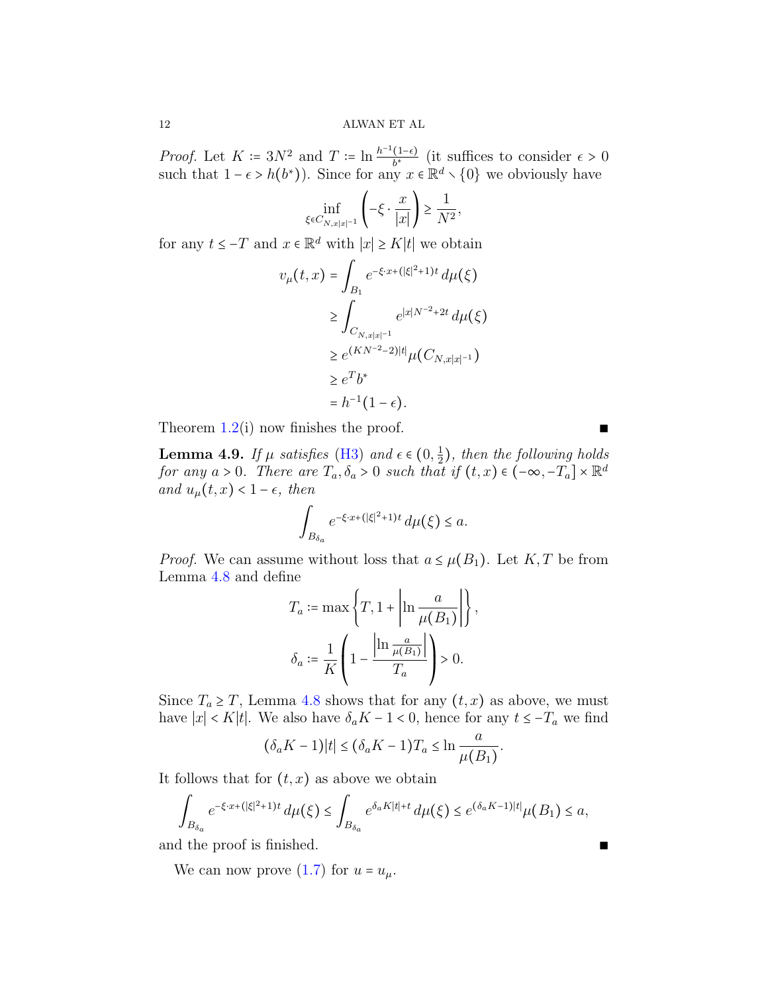*Proof.* Let  $K \coloneqq 3N^2$  and  $T \coloneqq \ln \frac{h^{-1}(1-\epsilon)}{h^*}$  $\frac{(1-\epsilon)}{b^*}$  (it suffices to consider  $\epsilon > 0$ such that  $1 - \epsilon > h(b^*)$ ). Since for any  $x \in \mathbb{R}^d \setminus \{0\}$  we obviously have

$$
\inf_{\xi \in C_{N, x|x|^{-1}}} \left( -\xi \cdot \frac{x}{|x|} \right) \ge \frac{1}{N^2},
$$

for any  $t \leq -T$  and  $x \in \mathbb{R}^d$  with  $|x| \geq K|t|$  we obtain

$$
v_{\mu}(t,x) = \int_{B_1} e^{-\xi \cdot x + (|\xi|^2 + 1)t} d\mu(\xi)
$$
  
\n
$$
\geq \int_{C_{N,x|x|^{-1}}} e^{|x|N^{-2} + 2t} d\mu(\xi)
$$
  
\n
$$
\geq e^{(KN^{-2}-2)|t|} \mu(C_{N,x|x|^{-1}})
$$
  
\n
$$
\geq e^T b^*
$$
  
\n
$$
= h^{-1}(1 - \epsilon).
$$

Theorem  $1.2(i)$  $1.2(i)$  now finishes the proof. ■

<span id="page-11-0"></span>**Lemma 4.9.** If  $\mu$  satisfies [\(H3\)](#page-6-2) and  $\epsilon \in (0, \frac{1}{2})$  $(\frac{1}{2})$ , then the following holds for any  $a > 0$ . There are  $T_a, \delta_a > 0$  such that if  $(t, x) \in (-\infty, -T_a] \times \mathbb{R}^d$ and  $u_{\mu}(t, x) < 1 - \epsilon$ , then

$$
\int_{B_{\delta_a}} e^{-\xi \cdot x + (|\xi|^2 + 1)t} \, d\mu(\xi) \le a.
$$

*Proof.* We can assume without loss that  $a \leq \mu(B_1)$ . Let K, T be from Lemma [4.8](#page-10-3) and define

$$
T_a := \max\left\{T, 1 + \left|\ln\frac{a}{\mu(B_1)}\right|\right\},\
$$

$$
\delta_a := \frac{1}{K}\left(1 - \frac{\left|\ln\frac{a}{\mu(B_1)}\right|}{T_a}\right) > 0.
$$

Since  $T_a \geq T$ , Lemma [4.8](#page-10-3) shows that for any  $(t, x)$  as above, we must have  $|x| < K|t|$ . We also have  $\delta_a K - 1 < 0$ , hence for any  $t \leq -T_a$  we find

$$
(\delta_a K - 1)|t| \le (\delta_a K - 1)T_a \le \ln \frac{a}{\mu(B_1)}.
$$

It follows that for  $(t, x)$  as above we obtain

$$
\int_{B_{\delta_a}} e^{-\xi \cdot x + (|\xi|^2 + 1)t} d\mu(\xi) \le \int_{B_{\delta_a}} e^{\delta_a K|t| + t} d\mu(\xi) \le e^{(\delta_a K - 1)|t|} \mu(B_1) \le a,
$$

and the proof is finished. ■

We can now prove [\(1.7\)](#page-2-0) for  $u = u_{\mu}$ .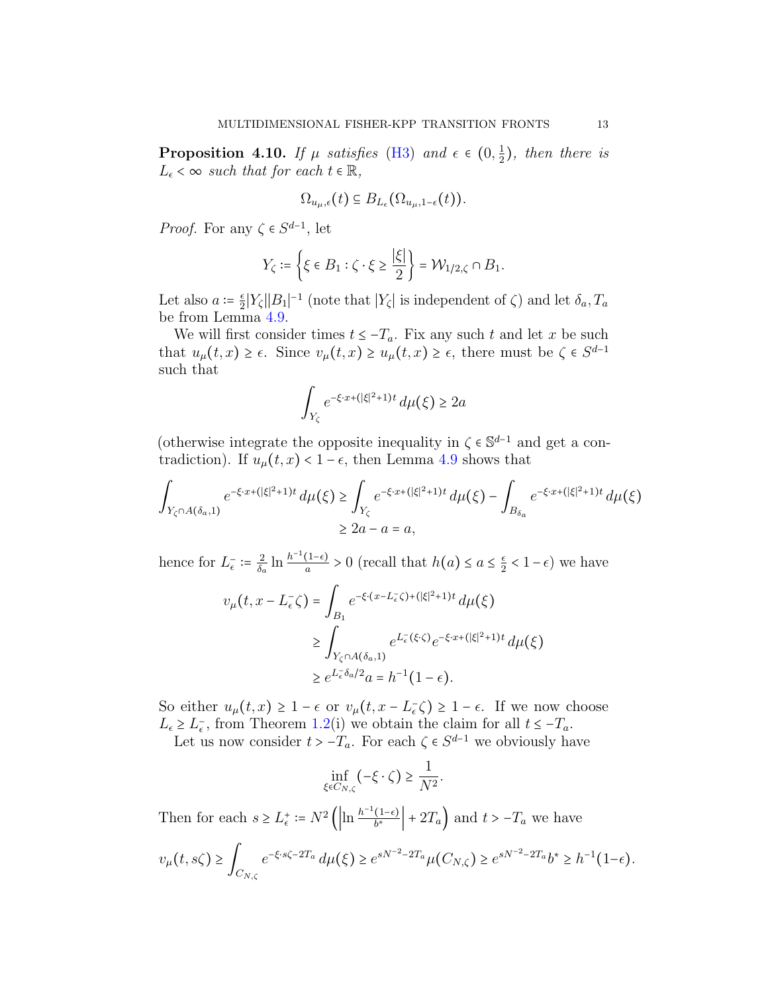**Proposition 4.10.** If  $\mu$  satisfies [\(H3\)](#page-6-2) and  $\epsilon \in (0, \frac{1}{2})$  $(\frac{1}{2})$ , then there is  $L_{\epsilon} < \infty$  such that for each  $t \in \mathbb{R}$ ,

$$
\Omega_{u_\mu,\epsilon}(t) \subseteq B_{L_{\epsilon}}(\Omega_{u_\mu,1-\epsilon}(t)).
$$

*Proof.* For any  $\zeta \in S^{d-1}$ , let

$$
Y_\zeta:=\left\{\xi\in B_1:\zeta\cdot\xi\geq \frac{|\xi|}{2}\right\}=\mathcal{W}_{1/2,\zeta}\cap B_1.
$$

Let also  $a \coloneqq \frac{\epsilon}{2}$  $\frac{\varepsilon}{2} |Y_{\zeta}| |B_1|^{-1}$  (note that  $|Y_{\zeta}|$  is independent of  $\zeta$ ) and let  $\delta_a, T_a$ be from Lemma [4.9.](#page-11-0)

We will first consider times  $t \leq -T_a$ . Fix any such t and let x be such that  $u_{\mu}(t,x) \geq \epsilon$ . Since  $v_{\mu}(t,x) \geq u_{\mu}(t,x) \geq \epsilon$ , there must be  $\zeta \in S^{d-1}$ such that

$$
\int_{Y_{\zeta}} e^{-\xi \cdot x + (|\xi|^2 + 1)t} \, d\mu(\xi) \ge 2a
$$

(otherwise integrate the opposite inequality in  $\zeta \in \mathbb{S}^{d-1}$  and get a contradiction). If  $\omega$  (*t*  $\infty$ )  $\zeta$ <sup>1</sup> as then I enough 4.0 shows that tradiction). If  $u_{\mu}(t, x) < 1 - \epsilon$ , then Lemma [4.9](#page-11-0) shows that

$$
\int_{Y_{\zeta} \cap A(\delta_a, 1)} e^{-\xi \cdot x + (|\xi|^2 + 1)t} d\mu(\xi) \ge \int_{Y_{\zeta}} e^{-\xi \cdot x + (|\xi|^2 + 1)t} d\mu(\xi) - \int_{B_{\delta_a}} e^{-\xi \cdot x + (|\xi|^2 + 1)t} d\mu(\xi)
$$
\n
$$
\ge 2a - a = a,
$$

hence for  $L_{\epsilon}^- := \frac{2}{\delta_{c}}$  $\frac{2}{\delta_a} \ln \frac{h^{-1}(1-\epsilon)}{a}$  $\frac{(1-\epsilon)}{a} > 0$  (recall that  $h(a) \leq a \leq \frac{\epsilon}{2}$  $\frac{\epsilon}{2} < 1 - \epsilon$ ) we have

$$
v_{\mu}(t, x - L_{\epsilon}^{-} \zeta) = \int_{B_1} e^{-\xi \cdot (x - L_{\epsilon}^{-} \zeta) + (|\xi|^{2} + 1)t} d\mu(\xi)
$$
  

$$
\geq \int_{Y_{\zeta} \cap A(\delta_{a}, 1)} e^{L_{\epsilon}^{-}(\xi \cdot \zeta)} e^{-\xi \cdot x + (|\xi|^{2} + 1)t} d\mu(\xi)
$$
  

$$
\geq e^{L_{\epsilon}^{-} \delta_{a}/2} a = h^{-1} (1 - \epsilon).
$$

So either  $u_{\mu}(t, x) \geq 1 - \epsilon$  or  $v_{\mu}(t, x - L_{\epsilon}^{-} \zeta) \geq 1 - \epsilon$ . If we now choose  $L_{\epsilon} \geq L_{\epsilon}$ , from Theorem [1.2\(](#page-4-0)i) we obtain the claim for all  $t \leq -T_a$ .

Let us now consider  $t > -T_a$ . For each  $\zeta \in S^{d-1}$  we obviously have

$$
\inf_{\xi \in C_{N,\zeta}} (-\xi \cdot \zeta) \ge \frac{1}{N^2}.
$$

Then for each  $s \ge L_{\epsilon}^+ := N^2 \left( \left| \ln \frac{h^{-1}(1-\epsilon)}{b^*} \right| \right)$  $\left(\frac{(1-\epsilon)}{b^*}\right) + 2T_a$  and  $t > -T_a$  we have

$$
v_{\mu}(t,s\zeta) \ge \int_{C_{N,\zeta}} e^{-\xi \cdot s\zeta - 2T_a} d\mu(\xi) \ge e^{sN^{-2} - 2T_a} \mu(C_{N,\zeta}) \ge e^{sN^{-2} - 2T_a} b^* \ge h^{-1} (1 - \epsilon).
$$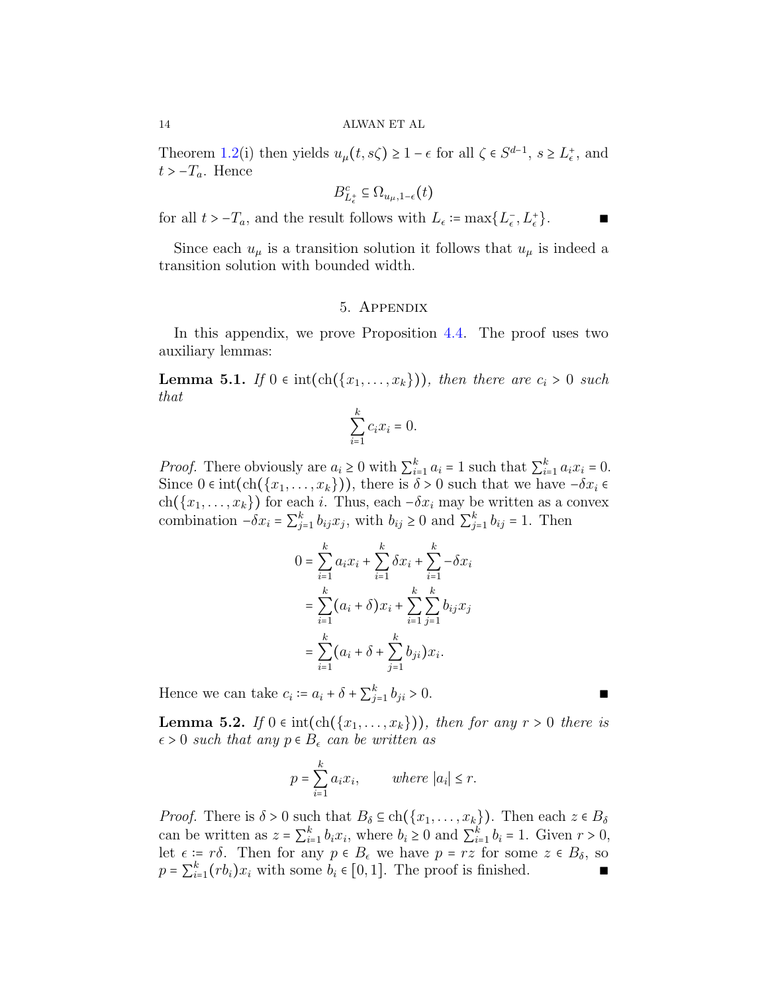Theorem [1.2\(](#page-4-0)i) then yields  $u_{\mu}(t, s\zeta) \geq 1 - \epsilon$  for all  $\zeta \in S^{d-1}$ ,  $s \geq L_{\epsilon}^{+}$ , and  $t > -T_a$ . Hence

$$
B_{L_{\epsilon}^+}^c \subseteq \Omega_{u_\mu,1-\epsilon}(t)
$$

for all  $t > -T_a$ , and the result follows with  $L_{\epsilon} := \max\{L_{\epsilon}^-, L_{\epsilon}^+\}.$  ■

Since each  $u_{\mu}$  is a transition solution it follows that  $u_{\mu}$  is indeed a transition solution with bounded width.

#### 5. Appendix

In this appendix, we prove Proposition [4.4.](#page-9-3) The proof uses two auxiliary lemmas:

<span id="page-13-0"></span>**Lemma 5.1.** If  $0 \in \text{int}(\text{ch}(\{x_1, \ldots, x_k\}))$ , then there are  $c_i > 0$  such that

$$
\sum_{i=1}^{k} c_i x_i = 0.
$$

*Proof.* There obviously are  $a_i \geq 0$  with  $\sum_{i=1}^k a_i = 1$  such that  $\sum_{i=1}^k a_i x_i = 0$ .<br>Since  $0 \leq int(\text{ch}(f(x_i, y_i)))$  there is  $\delta > 0$  such that we have  $\delta > 0$ . Since  $0 \in \text{int}(\text{ch}(\{x_1, \ldots, x_k\}))$ , there is  $\delta > 0$  such that we have  $-\delta x_i \in$ ch({ $x_1, \ldots, x_k$ }) for each i. Thus, each  $-\delta x_i$  may be written as a convex combination  $-\delta x_i = \sum_{j=1}^k b_{ij} x_j$ , with  $b_{ij} \ge 0$  and  $\sum_{j=1}^k b_{ij} = 1$ . Then

$$
0 = \sum_{i=1}^{k} a_i x_i + \sum_{i=1}^{k} \delta x_i + \sum_{i=1}^{k} -\delta x_i
$$
  
= 
$$
\sum_{i=1}^{k} (a_i + \delta) x_i + \sum_{i=1}^{k} \sum_{j=1}^{k} b_{ij} x_j
$$
  
= 
$$
\sum_{i=1}^{k} (a_i + \delta + \sum_{j=1}^{k} b_{ji}) x_i.
$$

Hence we can take  $c_i := a_i + \delta + \sum_{j=1}^k b_{ji} > 0$ .

<span id="page-13-1"></span>**Lemma 5.2.** If  $0 \in \text{int}(\text{ch}(\{x_1,\ldots,x_k\}))$ , then for any  $r > 0$  there is  $\epsilon > 0$  such that any  $p \in B_{\epsilon}$  can be written as

$$
p = \sum_{i=1}^{k} a_i x_i, \qquad \text{where } |a_i| \le r.
$$

Proof. There is  $\delta > 0$  such that  $B_{\delta} \subseteq ch({x_1, \ldots, x_k})$ . Then each  $z \in B_{\delta}$ can be written as  $z = \sum_{i=1}^{k} b_i x_i$ , where  $b_i \ge 0$  and  $\sum_{i=1}^{k} b_i = 1$ . Given  $r > 0$ , let  $\epsilon := r\delta$ . Then for any  $p \in B_{\epsilon}$  we have  $p = rz$  for some  $z \in B_{\delta}$ , so  $p = \sum_{i=1}^{k} (rb_i)x_i$  with some  $b_i \in [0,1]$ . The proof is finished. ■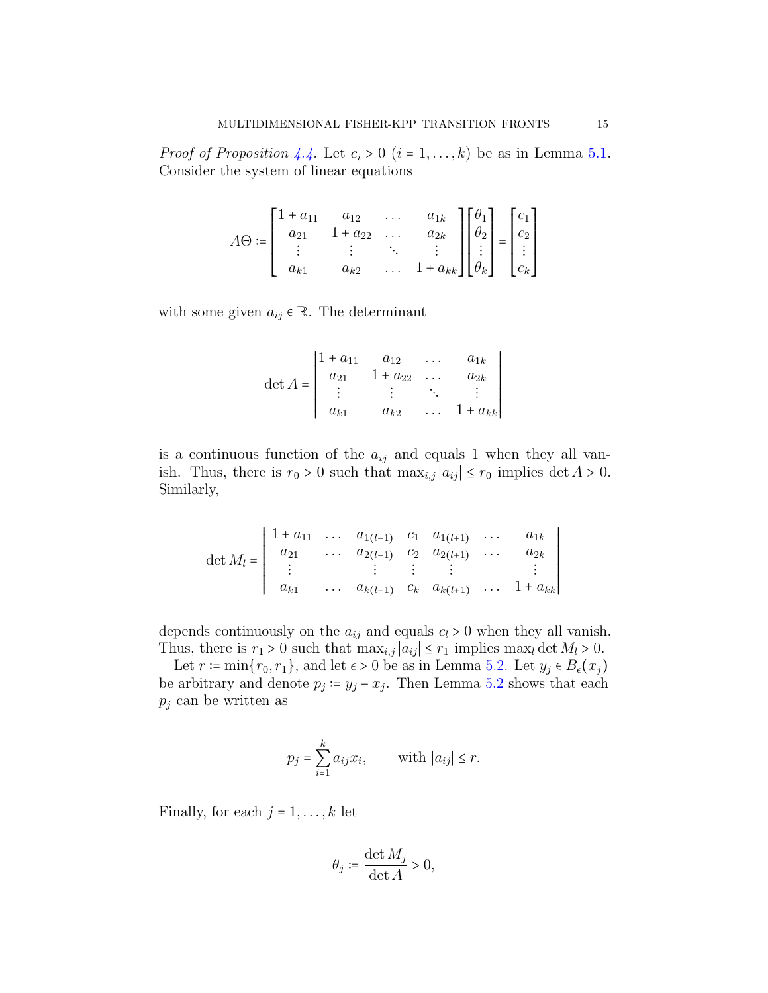*Proof of Proposition [4.4.](#page-9-3)* Let  $c_i > 0$   $(i = 1, \ldots, k)$  be as in Lemma [5.1.](#page-13-0) Consider the system of linear equations

$$
A\Theta := \begin{bmatrix} 1 + a_{11} & a_{12} & \dots & a_{1k} \\ a_{21} & 1 + a_{22} & \dots & a_{2k} \\ \vdots & \vdots & \ddots & \vdots \\ a_{k1} & a_{k2} & \dots & 1 + a_{kk} \end{bmatrix} \begin{bmatrix} \theta_1 \\ \theta_2 \\ \vdots \\ \theta_k \end{bmatrix} = \begin{bmatrix} c_1 \\ c_2 \\ \vdots \\ c_k \end{bmatrix}
$$

with some given  $a_{ij} \in \mathbb{R}$ . The determinant

$$
\det A = \begin{vmatrix} 1 + a_{11} & a_{12} & \cdots & a_{1k} \\ a_{21} & 1 + a_{22} & \cdots & a_{2k} \\ \vdots & \vdots & \ddots & \vdots \\ a_{k1} & a_{k2} & \cdots & 1 + a_{kk} \end{vmatrix}
$$

is a continuous function of the  $a_{ij}$  and equals 1 when they all vanish. Thus, there is  $r_0 > 0$  such that  $\max_{i,j} |a_{ij}| \leq r_0$  implies  $\det A > 0$ . Similarly,

$$
\det M_l = \begin{vmatrix} 1 + a_{11} & \cdots & a_{1(l-1)} & c_1 & a_{1(l+1)} & \cdots & a_{1k} \\ a_{21} & \cdots & a_{2(l-1)} & c_2 & a_{2(l+1)} & \cdots & a_{2k} \\ \vdots & \vdots & \vdots & \vdots & \vdots & \vdots \\ a_{k1} & \cdots & a_{k(l-1)} & c_k & a_{k(l+1)} & \cdots & 1 + a_{kk} \end{vmatrix}
$$

depends continuously on the  $a_{ij}$  and equals  $c_l > 0$  when they all vanish. Thus, there is  $r_1 > 0$  such that  $\max_{i,j} |a_{ij}| \leq r_1$  implies  $\max_l \det M_l > 0$ .

Let  $r \coloneqq \min\{r_0, r_1\}$ , and let  $\epsilon > 0$  be as in Lemma [5.2.](#page-13-1) Let  $y_j \in B_\epsilon(x_j)$ be arbitrary and denote  $p_j := y_j - x_j$ . Then Lemma [5.2](#page-13-1) shows that each  $p_j$  can be written as

$$
p_j = \sum_{i=1}^k a_{ij} x_i, \quad \text{with } |a_{ij}| \le r.
$$

Finally, for each  $j = 1, \ldots, k$  let

$$
\theta_j \coloneqq \frac{\det M_j}{\det A} > 0,
$$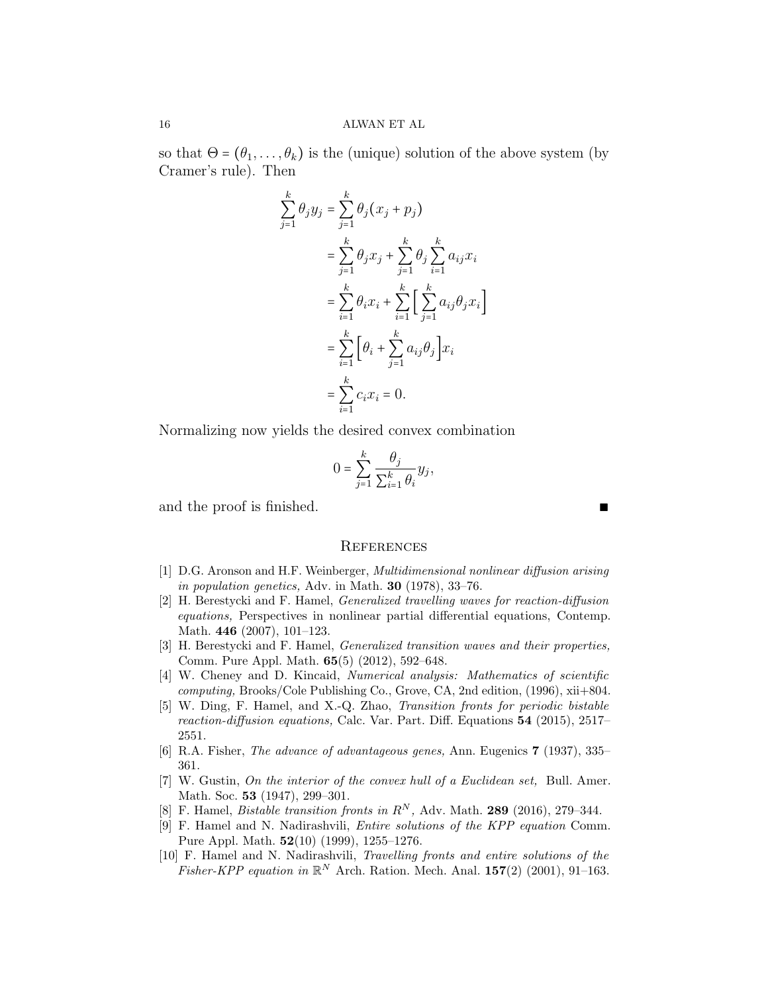so that  $\Theta = (\theta_1, \dots, \theta_k)$  is the (unique) solution of the above system (by Cramer's rule). Then

$$
\sum_{j=1}^{k} \theta_j y_j = \sum_{j=1}^{k} \theta_j (x_j + p_j)
$$
  
= 
$$
\sum_{j=1}^{k} \theta_j x_j + \sum_{j=1}^{k} \theta_j \sum_{i=1}^{k} a_{ij} x_i
$$
  
= 
$$
\sum_{i=1}^{k} \theta_i x_i + \sum_{i=1}^{k} \Big[ \sum_{j=1}^{k} a_{ij} \theta_j x_i \Big]
$$
  
= 
$$
\sum_{i=1}^{k} \Big[ \theta_i + \sum_{j=1}^{k} a_{ij} \theta_j \Big] x_i
$$
  
= 
$$
\sum_{i=1}^{k} c_i x_i = 0.
$$

Normalizing now yields the desired convex combination

$$
0 = \sum_{j=1}^{k} \frac{\theta_j}{\sum_{i=1}^{k} \theta_i} y_j,
$$

and the proof is finished.

## **REFERENCES**

- <span id="page-15-1"></span>[1] D.G. Aronson and H.F. Weinberger, Multidimensional nonlinear diffusion arising in population genetics, Adv. in Math.  $30$  (1978), 33-76.
- <span id="page-15-3"></span>[2] H. Berestycki and F. Hamel, Generalized travelling waves for reaction-diffusion equations, Perspectives in nonlinear partial differential equations, Contemp. Math. 446 (2007), 101–123.
- <span id="page-15-4"></span>[3] H. Berestycki and F. Hamel, Generalized transition waves and their properties, Comm. Pure Appl. Math. 65(5) (2012), 592–648.
- <span id="page-15-8"></span>[4] W. Cheney and D. Kincaid, Numerical analysis: Mathematics of scientific computing, Brooks/Cole Publishing Co., Grove, CA, 2nd edition,  $(1996)$ ,  $xii+804$ .
- <span id="page-15-5"></span>[5] W. Ding, F. Hamel, and X.-Q. Zhao, Transition fronts for periodic bistable reaction-diffusion equations, Calc. Var. Part. Diff. Equations 54 (2015), 2517– 2551.
- <span id="page-15-0"></span>[6] R.A. Fisher, The advance of advantageous genes, Ann. Eugenics 7 (1937), 335– 361.
- <span id="page-15-9"></span>[7] W. Gustin, On the interior of the convex hull of a Euclidean set, Bull. Amer. Math. Soc. **53** (1947), 299–301.
- <span id="page-15-7"></span>[8] F. Hamel, *Bistable transition fronts in*  $R^N$ , Adv. Math. **289** (2016), 279-344.
- <span id="page-15-6"></span>[9] F. Hamel and N. Nadirashvili, Entire solutions of the KPP equation Comm. Pure Appl. Math. 52(10) (1999), 1255–1276.
- <span id="page-15-2"></span>[10] F. Hamel and N. Nadirashvili, Travelling fronts and entire solutions of the Fisher-KPP equation in  $\mathbb{R}^N$  Arch. Ration. Mech. Anal. 157(2) (2001), 91-163.